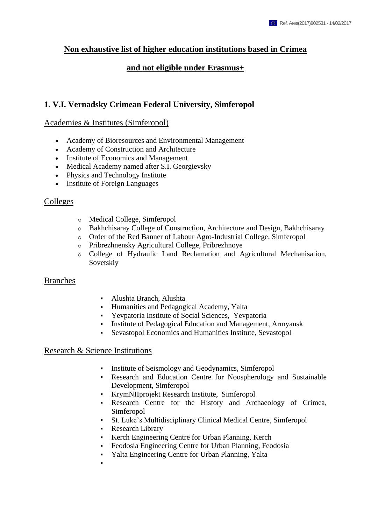## **Non exhaustive list of higher education institutions based in Crimea**

### **and not eligible under Erasmus+**

## **1. V.I. Vernadsky Crimean Federal University, Simferopol**

#### Academies & Institutes (Simferopol)

- Academy of Bioresources and Environmental Management
- Academy of Construction and Architecture
- Institute of Economics and Management
- Medical Academy named after S.I. Georgievsky
- Physics and Technology Institute
- Institute of Foreign Languages

#### Colleges

- o Medical College, Simferopol
- o Bakhchisaray College of Construction, Architecture and Design, Bakhchisaray
- o Order of the Red Banner of Labour Agro-Industrial College, Simferopol
- o Pribrezhnensky Agricultural College, Pribrezhnoye
- o College of Hydraulic Land Reclamation and Agricultural Mechanisation, Sovetskiy

#### Branches

- Alushta Branch, Alushta
- Humanities and Pedagogical Academy, Yalta
- Yevpatoria Institute of Social Sciences, Yevpatoria
- Institute of Pedagogical Education and Management, Armyansk
- Sevastopol Economics and Humanities Institute, Sevastopol

#### Research & Science Institutions

- Institute of Seismology and Geodynamics, Simferopol
- Research and Education Centre for Noospherology and Sustainable Development, Simferopol
- KrymNIIprojekt Research Institute, Simferopol
- Research Centre for the History and Archaeology of Crimea, Simferopol
- St. Luke's Multidisciplinary Clinical Medical Centre, Simferopol
- Research Library
- Kerch Engineering Centre for Urban Planning, Kerch
- Feodosia Engineering Centre for Urban Planning, Feodosia
- Yalta Engineering Centre for Urban Planning, Yalta
- $\blacksquare$